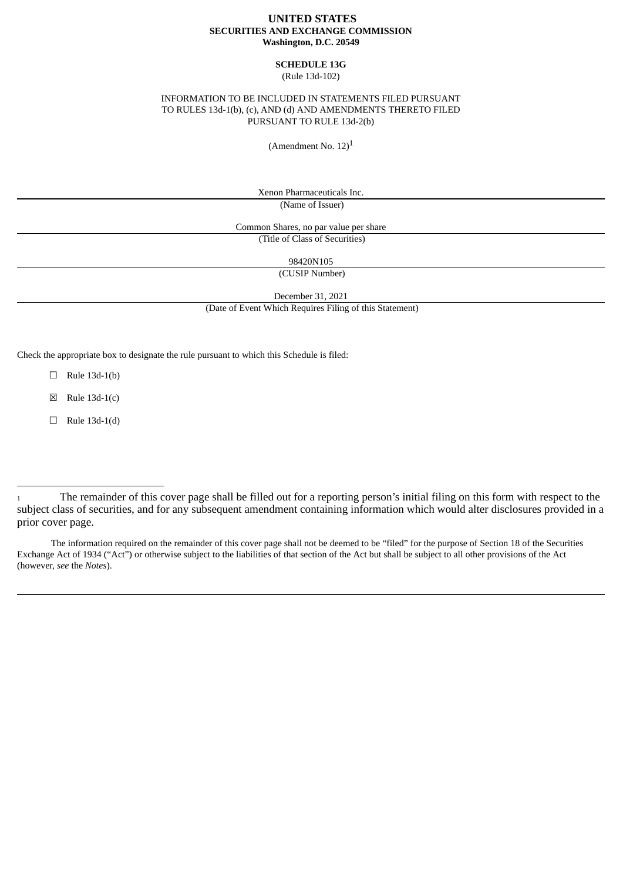## **UNITED STATES SECURITIES AND EXCHANGE COMMISSION Washington, D.C. 20549**

#### **SCHEDULE 13G** (Rule 13d-102)

## INFORMATION TO BE INCLUDED IN STATEMENTS FILED PURSUANT TO RULES 13d-1(b), (c), AND (d) AND AMENDMENTS THERETO FILED PURSUANT TO RULE 13d-2(b)

(Amendment No.  $12)^1$ 

Xenon Pharmaceuticals Inc. (Name of Issuer)

Common Shares, no par value per share (Title of Class of Securities)

98420N105

(CUSIP Number)

December 31, 2021

(Date of Event Which Requires Filing of this Statement)

Check the appropriate box to designate the rule pursuant to which this Schedule is filed:

 $\Box$  Rule 13d-1(b)

 $\boxtimes$  Rule 13d-1(c)

 $\Box$  Rule 13d-1(d)

The information required on the remainder of this cover page shall not be deemed to be "filed" for the purpose of Section 18 of the Securities Exchange Act of 1934 ("Act") or otherwise subject to the liabilities of that section of the Act but shall be subject to all other provisions of the Act (however, *see* the *Notes*).

<sup>1</sup> The remainder of this cover page shall be filled out for a reporting person's initial filing on this form with respect to the subject class of securities, and for any subsequent amendment containing information which would alter disclosures provided in a prior cover page.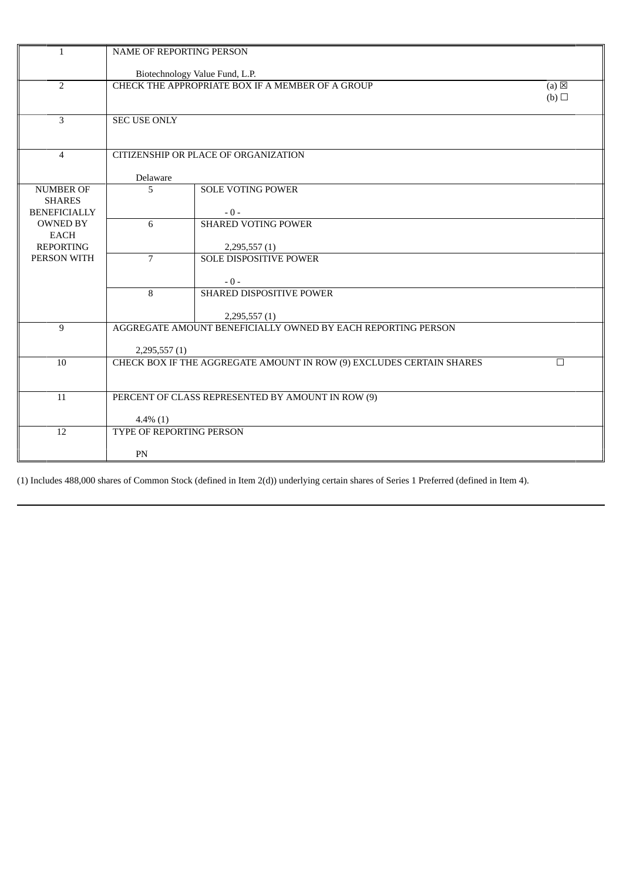| $\mathbf{1}$                                             | NAME OF REPORTING PERSON       |                                                                      |                        |  |
|----------------------------------------------------------|--------------------------------|----------------------------------------------------------------------|------------------------|--|
|                                                          |                                | Biotechnology Value Fund, L.P.                                       |                        |  |
| $\overline{2}$                                           |                                | CHECK THE APPROPRIATE BOX IF A MEMBER OF A GROUP                     | $(a) \boxtimes$<br>(b) |  |
| 3                                                        | <b>SEC USE ONLY</b>            |                                                                      |                        |  |
| $\overline{4}$                                           |                                | CITIZENSHIP OR PLACE OF ORGANIZATION                                 |                        |  |
|                                                          | Delaware                       |                                                                      |                        |  |
| <b>NUMBER OF</b><br><b>SHARES</b><br><b>BENEFICIALLY</b> | 5                              | <b>SOLE VOTING POWER</b><br>$-0-$                                    |                        |  |
| <b>OWNED BY</b><br><b>EACH</b><br><b>REPORTING</b>       | 6                              | <b>SHARED VOTING POWER</b><br>2,295,557(1)                           |                        |  |
| PERSON WITH                                              | $7\overline{ }$                | <b>SOLE DISPOSITIVE POWER</b><br>$-0-$                               |                        |  |
|                                                          | 8                              | SHARED DISPOSITIVE POWER<br>2,295,557(1)                             |                        |  |
| 9                                                        | 2,295,557(1)                   | AGGREGATE AMOUNT BENEFICIALLY OWNED BY EACH REPORTING PERSON         |                        |  |
| 10                                                       |                                | CHECK BOX IF THE AGGREGATE AMOUNT IN ROW (9) EXCLUDES CERTAIN SHARES | $\Box$                 |  |
| 11                                                       | $4.4\%$ (1)                    | PERCENT OF CLASS REPRESENTED BY AMOUNT IN ROW (9)                    |                        |  |
| 12                                                       | TYPE OF REPORTING PERSON<br>PN |                                                                      |                        |  |

(1) Includes 488,000 shares of Common Stock (defined in Item 2(d)) underlying certain shares of Series 1 Preferred (defined in Item 4).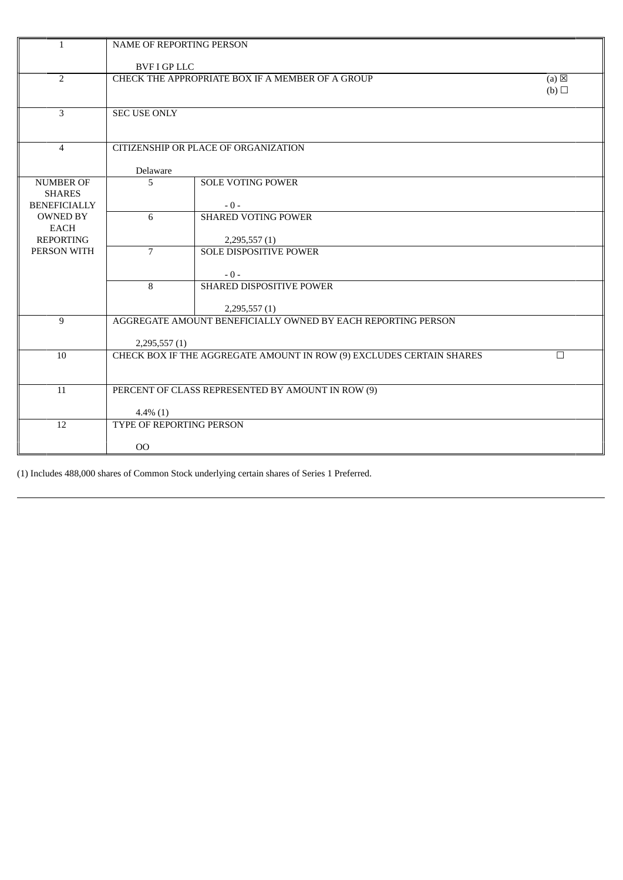| $\mathbf{1}$                                             | NAME OF REPORTING PERSON |                                                                      |                        |
|----------------------------------------------------------|--------------------------|----------------------------------------------------------------------|------------------------|
|                                                          | <b>BVF I GP LLC</b>      |                                                                      |                        |
| $\overline{2}$                                           |                          | CHECK THE APPROPRIATE BOX IF A MEMBER OF A GROUP                     | $(a) \boxtimes$<br>(b) |
| $\overline{3}$                                           | <b>SEC USE ONLY</b>      |                                                                      |                        |
| $\overline{4}$                                           |                          | CITIZENSHIP OR PLACE OF ORGANIZATION                                 |                        |
|                                                          | Delaware                 |                                                                      |                        |
| <b>NUMBER OF</b><br><b>SHARES</b><br><b>BENEFICIALLY</b> | 5                        | <b>SOLE VOTING POWER</b><br>$-0-$                                    |                        |
| <b>OWNED BY</b><br>EACH<br><b>REPORTING</b>              | 6                        | <b>SHARED VOTING POWER</b><br>2,295,557(1)                           |                        |
| PERSON WITH                                              | $\overline{7}$           | <b>SOLE DISPOSITIVE POWER</b><br>$-0-$                               |                        |
|                                                          | 8                        | SHARED DISPOSITIVE POWER<br>2,295,557(1)                             |                        |
| 9                                                        |                          | AGGREGATE AMOUNT BENEFICIALLY OWNED BY EACH REPORTING PERSON         |                        |
|                                                          | 2,295,557(1)             |                                                                      |                        |
| 10                                                       |                          | CHECK BOX IF THE AGGREGATE AMOUNT IN ROW (9) EXCLUDES CERTAIN SHARES | $\Box$                 |
| 11                                                       |                          | PERCENT OF CLASS REPRESENTED BY AMOUNT IN ROW (9)                    |                        |
|                                                          | $4.4\%$ (1)              |                                                                      |                        |
| 12                                                       | TYPE OF REPORTING PERSON |                                                                      |                        |
|                                                          | $00\,$                   |                                                                      |                        |

(1) Includes 488,000 shares of Common Stock underlying certain shares of Series 1 Preferred.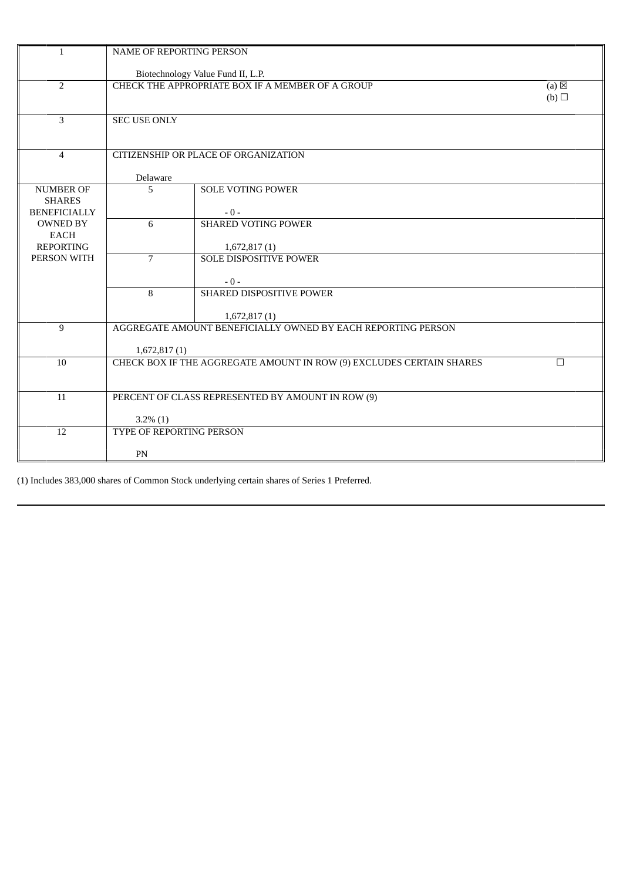| Biotechnology Value Fund II, L.P.<br>CHECK THE APPROPRIATE BOX IF A MEMBER OF A GROUP<br>$\overline{2}$<br>3<br><b>SEC USE ONLY</b><br>$\overline{4}$<br>CITIZENSHIP OR PLACE OF ORGANIZATION<br>Delaware<br><b>SOLE VOTING POWER</b><br><b>NUMBER OF</b><br>5<br><b>SHARES</b><br><b>BENEFICIALLY</b><br>$-0-$<br>6<br><b>SHARED VOTING POWER</b><br><b>OWNED BY</b><br>EACH<br><b>REPORTING</b><br>1,672,817(1)<br>PERSON WITH<br>$\overline{7}$<br><b>SOLE DISPOSITIVE POWER</b> |                        |
|-------------------------------------------------------------------------------------------------------------------------------------------------------------------------------------------------------------------------------------------------------------------------------------------------------------------------------------------------------------------------------------------------------------------------------------------------------------------------------------|------------------------|
|                                                                                                                                                                                                                                                                                                                                                                                                                                                                                     |                        |
|                                                                                                                                                                                                                                                                                                                                                                                                                                                                                     | $(a) \boxtimes$<br>(b) |
|                                                                                                                                                                                                                                                                                                                                                                                                                                                                                     |                        |
|                                                                                                                                                                                                                                                                                                                                                                                                                                                                                     |                        |
|                                                                                                                                                                                                                                                                                                                                                                                                                                                                                     |                        |
|                                                                                                                                                                                                                                                                                                                                                                                                                                                                                     |                        |
|                                                                                                                                                                                                                                                                                                                                                                                                                                                                                     |                        |
| $-0-$                                                                                                                                                                                                                                                                                                                                                                                                                                                                               |                        |
| 8<br>SHARED DISPOSITIVE POWER<br>1,672,817(1)                                                                                                                                                                                                                                                                                                                                                                                                                                       |                        |
| AGGREGATE AMOUNT BENEFICIALLY OWNED BY EACH REPORTING PERSON<br>9<br>1,672,817(1)                                                                                                                                                                                                                                                                                                                                                                                                   |                        |
| CHECK BOX IF THE AGGREGATE AMOUNT IN ROW (9) EXCLUDES CERTAIN SHARES<br>10                                                                                                                                                                                                                                                                                                                                                                                                          | П                      |
| 11<br>PERCENT OF CLASS REPRESENTED BY AMOUNT IN ROW (9)<br>$3.2\%$ (1)                                                                                                                                                                                                                                                                                                                                                                                                              |                        |
| TYPE OF REPORTING PERSON<br>12<br>PN                                                                                                                                                                                                                                                                                                                                                                                                                                                |                        |

(1) Includes 383,000 shares of Common Stock underlying certain shares of Series 1 Preferred.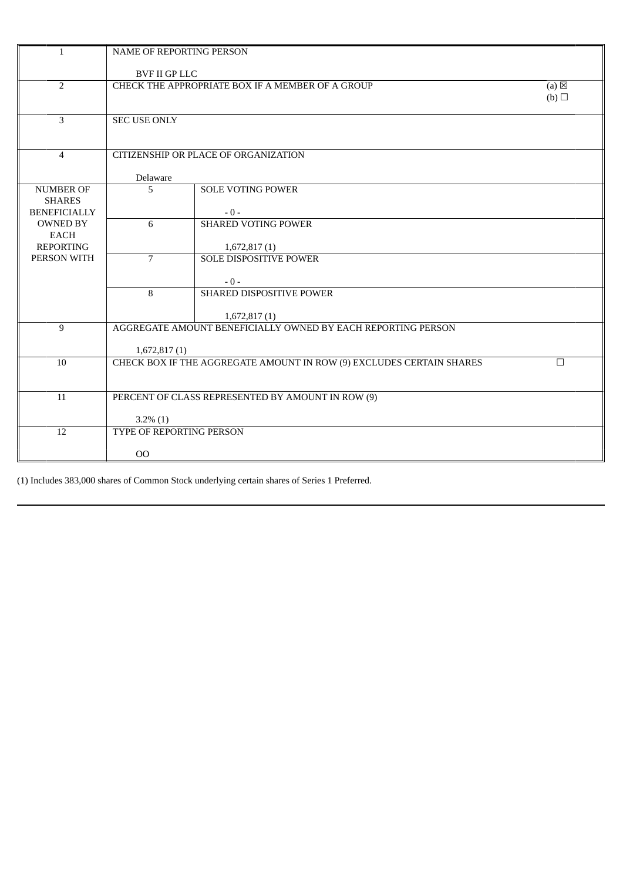| $\mathbf{1}$                                             | NAME OF REPORTING PERSON                |                                                                      |                        |  |
|----------------------------------------------------------|-----------------------------------------|----------------------------------------------------------------------|------------------------|--|
|                                                          | <b>BVF II GP LLC</b>                    |                                                                      |                        |  |
| $\overline{2}$                                           |                                         | CHECK THE APPROPRIATE BOX IF A MEMBER OF A GROUP                     | $(a) \boxtimes$<br>(b) |  |
| $\overline{3}$                                           | <b>SEC USE ONLY</b>                     |                                                                      |                        |  |
| $\overline{4}$                                           |                                         | CITIZENSHIP OR PLACE OF ORGANIZATION                                 |                        |  |
|                                                          | Delaware                                |                                                                      |                        |  |
| <b>NUMBER OF</b><br><b>SHARES</b><br><b>BENEFICIALLY</b> | 5                                       | <b>SOLE VOTING POWER</b><br>$-0-$                                    |                        |  |
| <b>OWNED BY</b><br><b>EACH</b><br><b>REPORTING</b>       | 6                                       | <b>SHARED VOTING POWER</b><br>1,672,817(1)                           |                        |  |
| PERSON WITH                                              | $\overline{7}$                          | <b>SOLE DISPOSITIVE POWER</b><br>$-0-$                               |                        |  |
|                                                          | 8                                       | SHARED DISPOSITIVE POWER<br>1,672,817(1)                             |                        |  |
| 9                                                        |                                         | AGGREGATE AMOUNT BENEFICIALLY OWNED BY EACH REPORTING PERSON         |                        |  |
|                                                          | 1,672,817(1)                            |                                                                      |                        |  |
| 10                                                       |                                         | CHECK BOX IF THE AGGREGATE AMOUNT IN ROW (9) EXCLUDES CERTAIN SHARES | $\Box$                 |  |
| 11                                                       |                                         | PERCENT OF CLASS REPRESENTED BY AMOUNT IN ROW (9)                    |                        |  |
| 12                                                       | $3.2\%$ (1)<br>TYPE OF REPORTING PERSON |                                                                      |                        |  |
|                                                          | 00                                      |                                                                      |                        |  |

(1) Includes 383,000 shares of Common Stock underlying certain shares of Series 1 Preferred.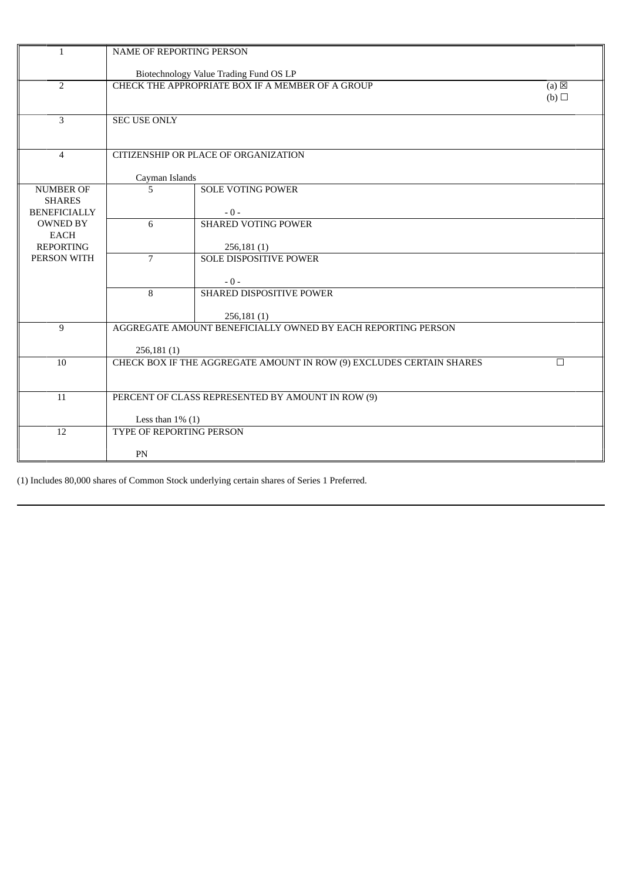| $\mathbf{1}$                                             | <b>NAME OF REPORTING PERSON</b> |                                                                          |                        |  |
|----------------------------------------------------------|---------------------------------|--------------------------------------------------------------------------|------------------------|--|
|                                                          |                                 | Biotechnology Value Trading Fund OS LP                                   |                        |  |
| $\overline{2}$                                           |                                 | CHECK THE APPROPRIATE BOX IF A MEMBER OF A GROUP                         | $(a) \boxtimes$<br>(b) |  |
| 3                                                        | <b>SEC USE ONLY</b>             |                                                                          |                        |  |
| $\overline{4}$                                           |                                 | CITIZENSHIP OR PLACE OF ORGANIZATION                                     |                        |  |
|                                                          | Cayman Islands                  |                                                                          |                        |  |
| <b>NUMBER OF</b><br><b>SHARES</b><br><b>BENEFICIALLY</b> | 5                               | <b>SOLE VOTING POWER</b><br>$-0-$                                        |                        |  |
| <b>OWNED BY</b><br>EACH<br><b>REPORTING</b>              | 6                               | <b>SHARED VOTING POWER</b><br>256,181(1)                                 |                        |  |
| PERSON WITH                                              | $\overline{7}$                  | <b>SOLE DISPOSITIVE POWER</b><br>$-0-$                                   |                        |  |
|                                                          | 8                               | SHARED DISPOSITIVE POWER<br>256,181(1)                                   |                        |  |
| 9                                                        | 256,181(1)                      | AGGREGATE AMOUNT BENEFICIALLY OWNED BY EACH REPORTING PERSON             |                        |  |
| 10                                                       |                                 | CHECK BOX IF THE AGGREGATE AMOUNT IN ROW (9) EXCLUDES CERTAIN SHARES     | П                      |  |
| 11                                                       |                                 | PERCENT OF CLASS REPRESENTED BY AMOUNT IN ROW (9)<br>Less than $1\%$ (1) |                        |  |
| 12                                                       | TYPE OF REPORTING PERSON<br>PN  |                                                                          |                        |  |
|                                                          |                                 |                                                                          |                        |  |

(1) Includes 80,000 shares of Common Stock underlying certain shares of Series 1 Preferred.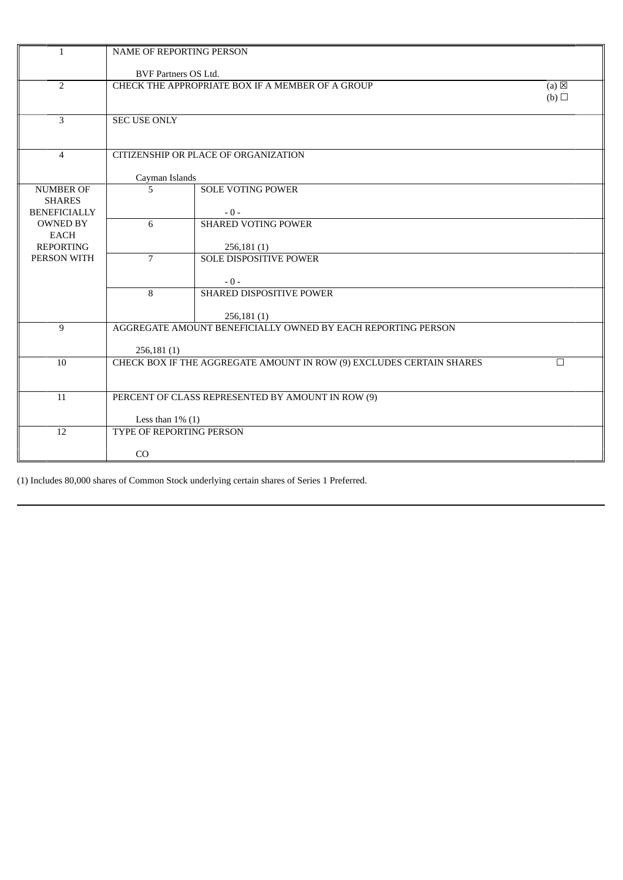| $\mathbf{1}$                                             | <b>NAME OF REPORTING PERSON</b> |                                                                      |                        |
|----------------------------------------------------------|---------------------------------|----------------------------------------------------------------------|------------------------|
|                                                          | <b>BVF Partners OS Ltd.</b>     |                                                                      |                        |
| $\overline{2}$                                           |                                 | CHECK THE APPROPRIATE BOX IF A MEMBER OF A GROUP                     | $(a) \boxtimes$<br>(b) |
| 3                                                        | <b>SEC USE ONLY</b>             |                                                                      |                        |
| $\overline{4}$                                           |                                 | CITIZENSHIP OR PLACE OF ORGANIZATION                                 |                        |
|                                                          | Cayman Islands                  |                                                                      |                        |
| <b>NUMBER OF</b><br><b>SHARES</b><br><b>BENEFICIALLY</b> | 5                               | <b>SOLE VOTING POWER</b><br>$-0-$                                    |                        |
| <b>OWNED BY</b><br><b>EACH</b><br><b>REPORTING</b>       | 6                               | <b>SHARED VOTING POWER</b><br>256,181(1)                             |                        |
| PERSON WITH                                              | $\overline{7}$                  | <b>SOLE DISPOSITIVE POWER</b><br>$-0-$                               |                        |
|                                                          | 8                               | SHARED DISPOSITIVE POWER<br>256,181(1)                               |                        |
| 9                                                        | 256,181(1)                      | AGGREGATE AMOUNT BENEFICIALLY OWNED BY EACH REPORTING PERSON         |                        |
| 10                                                       |                                 | CHECK BOX IF THE AGGREGATE AMOUNT IN ROW (9) EXCLUDES CERTAIN SHARES | $\Box$                 |
| 11                                                       | Less than $1\%$ (1)             | PERCENT OF CLASS REPRESENTED BY AMOUNT IN ROW (9)                    |                        |
| 12                                                       | <b>TYPE OF REPORTING PERSON</b> |                                                                      |                        |
|                                                          | CO                              |                                                                      |                        |

(1) Includes 80,000 shares of Common Stock underlying certain shares of Series 1 Preferred.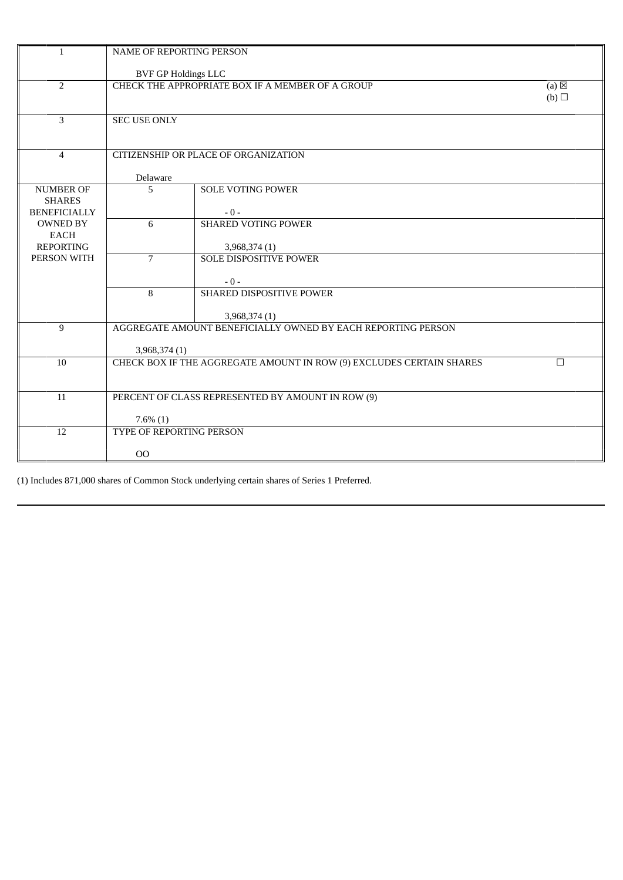| $\mathbf{1}$                           | <b>NAME OF REPORTING PERSON</b> |                                                                      |                        |
|----------------------------------------|---------------------------------|----------------------------------------------------------------------|------------------------|
|                                        | <b>BVF GP Holdings LLC</b>      |                                                                      |                        |
| $\overline{2}$                         |                                 | CHECK THE APPROPRIATE BOX IF A MEMBER OF A GROUP                     | $(a) \boxtimes$<br>(b) |
| 3                                      | <b>SEC USE ONLY</b>             |                                                                      |                        |
| $\overline{4}$                         |                                 | CITIZENSHIP OR PLACE OF ORGANIZATION                                 |                        |
|                                        | Delaware                        |                                                                      |                        |
| <b>NUMBER OF</b><br><b>SHARES</b>      | 5                               | <b>SOLE VOTING POWER</b>                                             |                        |
| <b>BENEFICIALLY</b><br><b>OWNED BY</b> | 6                               | $-0-$<br><b>SHARED VOTING POWER</b>                                  |                        |
| <b>EACH</b>                            |                                 |                                                                      |                        |
| <b>REPORTING</b>                       |                                 | 3,968,374 (1)                                                        |                        |
| PERSON WITH                            | $\overline{7}$                  | <b>SOLE DISPOSITIVE POWER</b>                                        |                        |
|                                        |                                 | $-0-$                                                                |                        |
|                                        | 8                               | SHARED DISPOSITIVE POWER                                             |                        |
|                                        |                                 | 3,968,374 (1)                                                        |                        |
| 9                                      |                                 | AGGREGATE AMOUNT BENEFICIALLY OWNED BY EACH REPORTING PERSON         |                        |
|                                        | 3,968,374 (1)                   |                                                                      |                        |
| 10                                     |                                 | CHECK BOX IF THE AGGREGATE AMOUNT IN ROW (9) EXCLUDES CERTAIN SHARES | $\Box$                 |
|                                        |                                 |                                                                      |                        |
| 11                                     |                                 | PERCENT OF CLASS REPRESENTED BY AMOUNT IN ROW (9)                    |                        |
|                                        | $7.6\%$ (1)                     |                                                                      |                        |
| 12                                     | TYPE OF REPORTING PERSON        |                                                                      |                        |
|                                        |                                 |                                                                      |                        |
|                                        | 00                              |                                                                      |                        |

(1) Includes 871,000 shares of Common Stock underlying certain shares of Series 1 Preferred.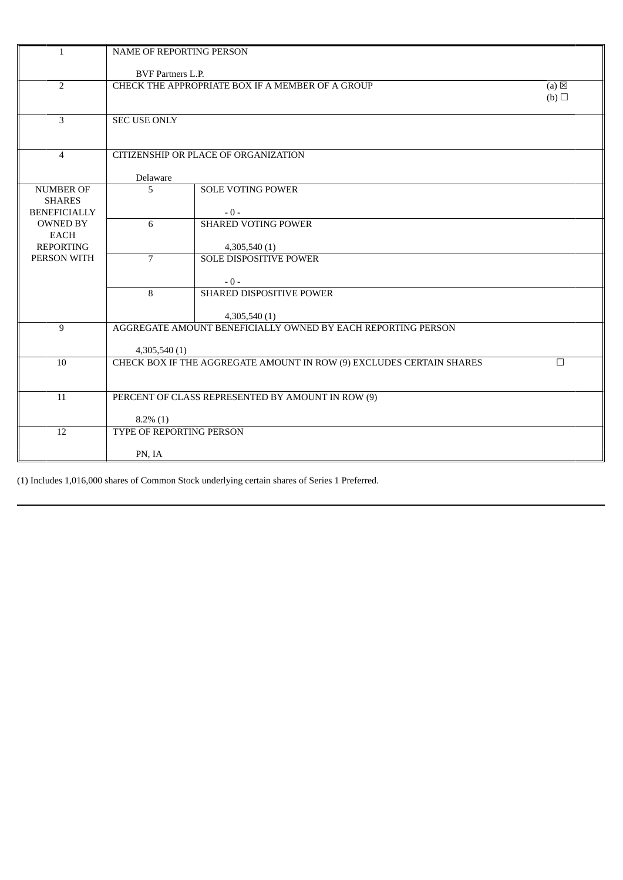| $\mathbf{1}$                                             | NAME OF REPORTING PERSON           |                                                                      |                        |  |
|----------------------------------------------------------|------------------------------------|----------------------------------------------------------------------|------------------------|--|
|                                                          | <b>BVF Partners L.P.</b>           |                                                                      |                        |  |
| $\overline{2}$                                           |                                    | CHECK THE APPROPRIATE BOX IF A MEMBER OF A GROUP                     | $(a) \boxtimes$<br>(b) |  |
| 3                                                        | <b>SEC USE ONLY</b>                |                                                                      |                        |  |
| $\overline{4}$                                           |                                    | CITIZENSHIP OR PLACE OF ORGANIZATION                                 |                        |  |
|                                                          | Delaware                           |                                                                      |                        |  |
| <b>NUMBER OF</b><br><b>SHARES</b><br><b>BENEFICIALLY</b> | 5                                  | <b>SOLE VOTING POWER</b><br>$-0-$                                    |                        |  |
| <b>OWNED BY</b><br><b>EACH</b><br><b>REPORTING</b>       | 6                                  | <b>SHARED VOTING POWER</b><br>4,305,540 (1)                          |                        |  |
| PERSON WITH                                              | $\overline{7}$                     | <b>SOLE DISPOSITIVE POWER</b><br>$-0-$                               |                        |  |
|                                                          | 8                                  | SHARED DISPOSITIVE POWER<br>4,305,540 (1)                            |                        |  |
| 9                                                        | 4,305,540 (1)                      | AGGREGATE AMOUNT BENEFICIALLY OWNED BY EACH REPORTING PERSON         |                        |  |
| 10                                                       |                                    | CHECK BOX IF THE AGGREGATE AMOUNT IN ROW (9) EXCLUDES CERTAIN SHARES | $\Box$                 |  |
| 11                                                       | $8.2\%$ (1)                        | PERCENT OF CLASS REPRESENTED BY AMOUNT IN ROW (9)                    |                        |  |
| 12                                                       | TYPE OF REPORTING PERSON<br>PN, IA |                                                                      |                        |  |

(1) Includes 1,016,000 shares of Common Stock underlying certain shares of Series 1 Preferred.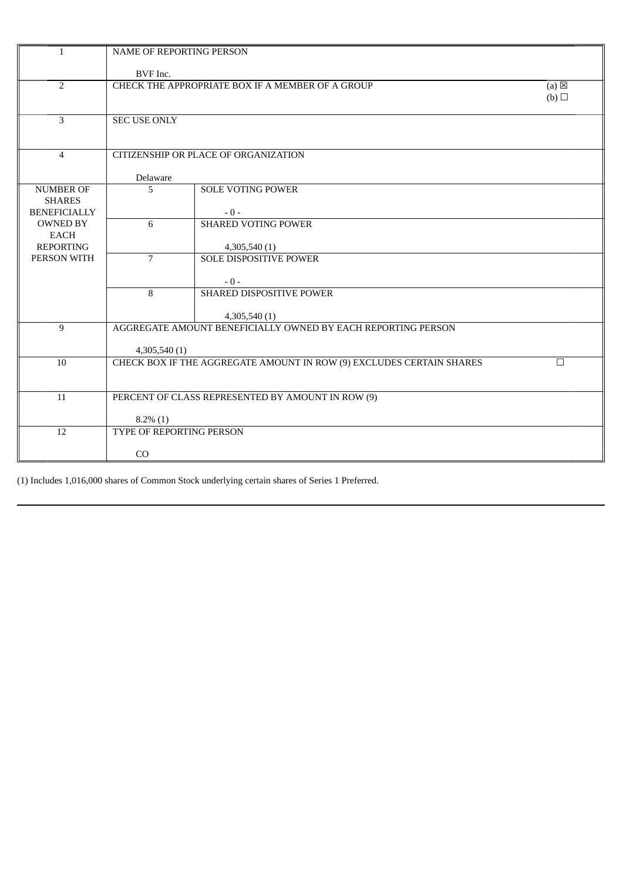| $\mathbf{1}$                                             | NAME OF REPORTING PERSON                                         |                                                                      |                        |
|----------------------------------------------------------|------------------------------------------------------------------|----------------------------------------------------------------------|------------------------|
|                                                          | BVF Inc.                                                         |                                                                      |                        |
| $\overline{2}$                                           |                                                                  | CHECK THE APPROPRIATE BOX IF A MEMBER OF A GROUP                     | $(a) \boxtimes$<br>(b) |
| $\overline{3}$                                           | <b>SEC USE ONLY</b>                                              |                                                                      |                        |
| $\overline{4}$                                           |                                                                  | CITIZENSHIP OR PLACE OF ORGANIZATION                                 |                        |
|                                                          | Delaware                                                         |                                                                      |                        |
| <b>NUMBER OF</b><br><b>SHARES</b><br><b>BENEFICIALLY</b> | 5                                                                | <b>SOLE VOTING POWER</b><br>$-0-$                                    |                        |
| <b>OWNED BY</b><br><b>EACH</b><br><b>REPORTING</b>       | 6                                                                | <b>SHARED VOTING POWER</b><br>4,305,540 (1)                          |                        |
| PERSON WITH                                              | $\overline{7}$                                                   | <b>SOLE DISPOSITIVE POWER</b><br>$-0-$                               |                        |
|                                                          | 8                                                                | SHARED DISPOSITIVE POWER<br>4,305,540(1)                             |                        |
| 9                                                        | 4,305,540 (1)                                                    | AGGREGATE AMOUNT BENEFICIALLY OWNED BY EACH REPORTING PERSON         |                        |
| 10                                                       |                                                                  | CHECK BOX IF THE AGGREGATE AMOUNT IN ROW (9) EXCLUDES CERTAIN SHARES | $\Box$                 |
| 11                                                       | PERCENT OF CLASS REPRESENTED BY AMOUNT IN ROW (9)<br>$8.2\%$ (1) |                                                                      |                        |
| 12                                                       | TYPE OF REPORTING PERSON                                         |                                                                      |                        |
|                                                          | CO                                                               |                                                                      |                        |

(1) Includes 1,016,000 shares of Common Stock underlying certain shares of Series 1 Preferred.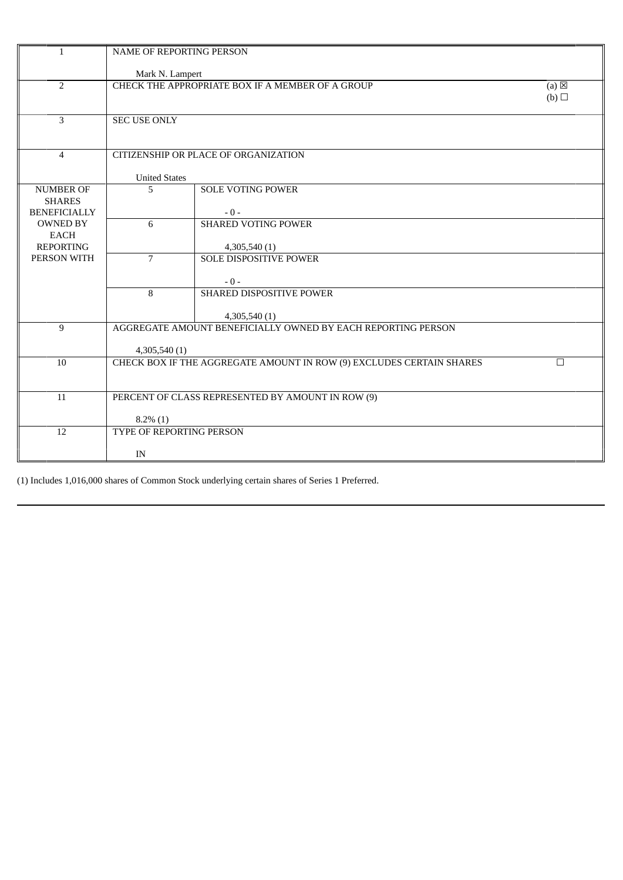| $\mathbf{1}$                                             | <b>NAME OF REPORTING PERSON</b> |                                                                      |                        |
|----------------------------------------------------------|---------------------------------|----------------------------------------------------------------------|------------------------|
|                                                          | Mark N. Lampert                 |                                                                      |                        |
| $\overline{2}$                                           |                                 | CHECK THE APPROPRIATE BOX IF A MEMBER OF A GROUP                     | $(a) \boxtimes$<br>(b) |
| 3                                                        | <b>SEC USE ONLY</b>             |                                                                      |                        |
| $\overline{4}$                                           |                                 | CITIZENSHIP OR PLACE OF ORGANIZATION                                 |                        |
|                                                          | <b>United States</b>            |                                                                      |                        |
| <b>NUMBER OF</b><br><b>SHARES</b><br><b>BENEFICIALLY</b> | 5                               | <b>SOLE VOTING POWER</b><br>$-0-$                                    |                        |
| <b>OWNED BY</b><br><b>EACH</b><br><b>REPORTING</b>       | 6                               | <b>SHARED VOTING POWER</b><br>4,305,540 (1)                          |                        |
| PERSON WITH                                              | $\overline{7}$                  | <b>SOLE DISPOSITIVE POWER</b><br>$-0-$                               |                        |
|                                                          | 8                               | SHARED DISPOSITIVE POWER<br>4,305,540(1)                             |                        |
| 9                                                        | 4,305,540 (1)                   | AGGREGATE AMOUNT BENEFICIALLY OWNED BY EACH REPORTING PERSON         |                        |
| 10                                                       |                                 | CHECK BOX IF THE AGGREGATE AMOUNT IN ROW (9) EXCLUDES CERTAIN SHARES | $\Box$                 |
| 11                                                       | $8.2\%$ (1)                     | PERCENT OF CLASS REPRESENTED BY AMOUNT IN ROW (9)                    |                        |
| 12                                                       | TYPE OF REPORTING PERSON        |                                                                      |                        |
|                                                          | IN                              |                                                                      |                        |

(1) Includes 1,016,000 shares of Common Stock underlying certain shares of Series 1 Preferred.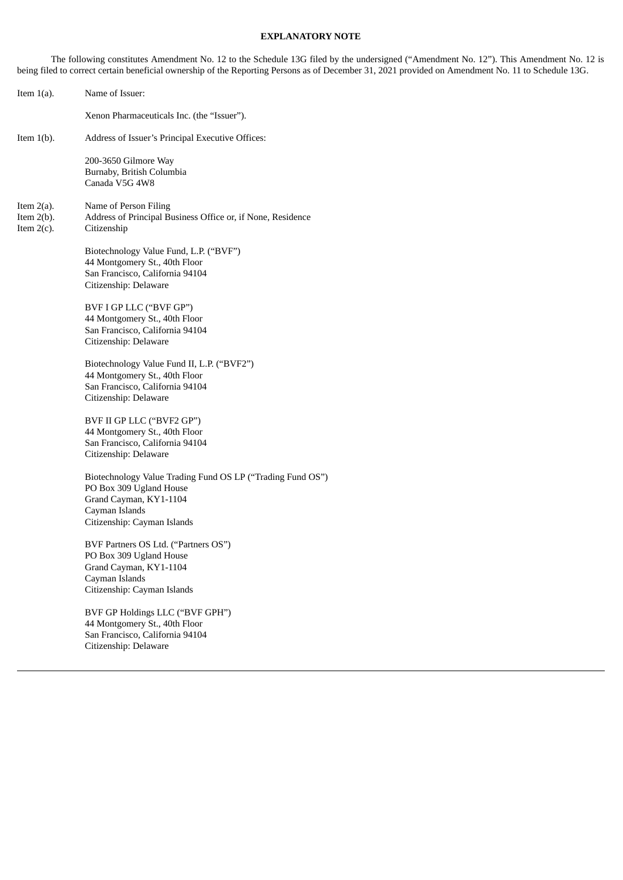## **EXPLANATORY NOTE**

The following constitutes Amendment No. 12 to the Schedule 13G filed by the undersigned ("Amendment No. 12"). This Amendment No. 12 is being filed to correct certain beneficial ownership of the Reporting Persons as of December 31, 2021 provided on Amendment No. 11 to Schedule 13G.

| Item $1(a)$ .                                   | Name of Issuer:                                                                                                                                                  |
|-------------------------------------------------|------------------------------------------------------------------------------------------------------------------------------------------------------------------|
|                                                 | Xenon Pharmaceuticals Inc. (the "Issuer").                                                                                                                       |
| Item $1(b)$ .                                   | Address of Issuer's Principal Executive Offices:                                                                                                                 |
|                                                 | 200-3650 Gilmore Way<br>Burnaby, British Columbia<br>Canada V5G 4W8                                                                                              |
| Item $2(a)$ .<br>Item $2(b)$ .<br>Item $2(c)$ . | Name of Person Filing<br>Address of Principal Business Office or, if None, Residence<br>Citizenship                                                              |
|                                                 | Biotechnology Value Fund, L.P. ("BVF")<br>44 Montgomery St., 40th Floor<br>San Francisco, California 94104<br>Citizenship: Delaware                              |
|                                                 | BVF I GP LLC ("BVF GP")<br>44 Montgomery St., 40th Floor<br>San Francisco, California 94104<br>Citizenship: Delaware                                             |
|                                                 | Biotechnology Value Fund II, L.P. ("BVF2")<br>44 Montgomery St., 40th Floor<br>San Francisco, California 94104<br>Citizenship: Delaware                          |
|                                                 | BVF II GP LLC ("BVF2 GP")<br>44 Montgomery St., 40th Floor<br>San Francisco, California 94104<br>Citizenship: Delaware                                           |
|                                                 | Biotechnology Value Trading Fund OS LP ("Trading Fund OS")<br>PO Box 309 Ugland House<br>Grand Cayman, KY1-1104<br>Cayman Islands<br>Citizenship: Cayman Islands |
|                                                 | BVF Partners OS Ltd. ("Partners OS")<br>PO Box 309 Ugland House<br>Grand Cayman, KY1-1104<br>Cayman Islands<br>Citizenship: Cayman Islands                       |
|                                                 | BVF GP Holdings LLC ("BVF GPH")<br>44 Montgomery St., 40th Floor<br>San Francisco, California 94104<br>Citizenship: Delaware                                     |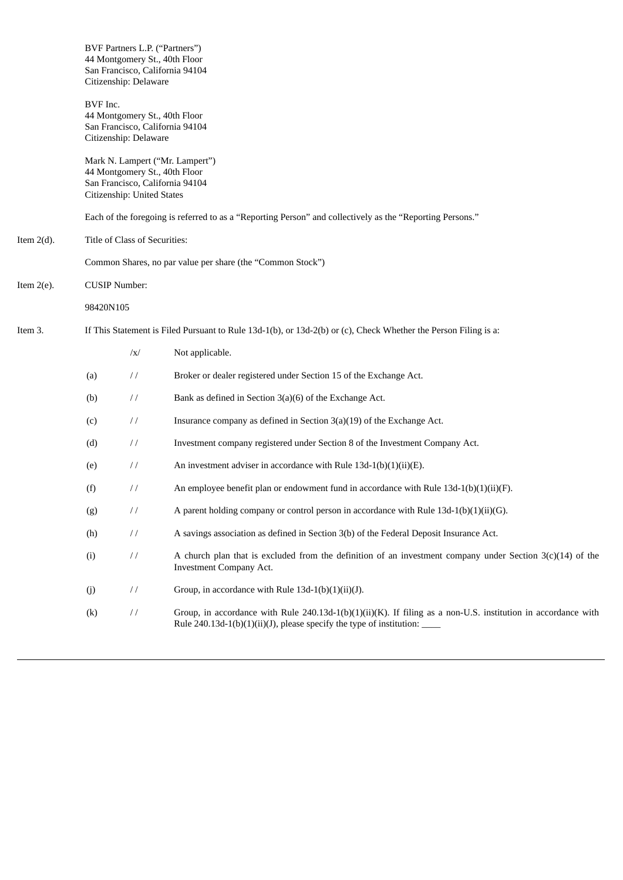|               |           | Citizenship: Delaware                                                                                           | BVF Partners L.P. ("Partners")<br>44 Montgomery St., 40th Floor<br>San Francisco, California 94104                                                                                                                |  |  |
|---------------|-----------|-----------------------------------------------------------------------------------------------------------------|-------------------------------------------------------------------------------------------------------------------------------------------------------------------------------------------------------------------|--|--|
|               | BVF Inc.  | Citizenship: Delaware                                                                                           | 44 Montgomery St., 40th Floor<br>San Francisco, California 94104                                                                                                                                                  |  |  |
|               |           | Citizenship: United States                                                                                      | Mark N. Lampert ("Mr. Lampert")<br>44 Montgomery St., 40th Floor<br>San Francisco, California 94104                                                                                                               |  |  |
|               |           |                                                                                                                 | Each of the foregoing is referred to as a "Reporting Person" and collectively as the "Reporting Persons."                                                                                                         |  |  |
| Item $2(d)$ . |           | Title of Class of Securities:                                                                                   |                                                                                                                                                                                                                   |  |  |
|               |           |                                                                                                                 | Common Shares, no par value per share (the "Common Stock")                                                                                                                                                        |  |  |
| Item $2(e)$ . |           | <b>CUSIP Number:</b>                                                                                            |                                                                                                                                                                                                                   |  |  |
|               | 98420N105 |                                                                                                                 |                                                                                                                                                                                                                   |  |  |
| Item 3.       |           | If This Statement is Filed Pursuant to Rule 13d-1(b), or 13d-2(b) or (c), Check Whether the Person Filing is a: |                                                                                                                                                                                                                   |  |  |
|               |           | $\sqrt{x}$                                                                                                      | Not applicable.                                                                                                                                                                                                   |  |  |
|               | (a)       | $\frac{1}{2}$                                                                                                   | Broker or dealer registered under Section 15 of the Exchange Act.                                                                                                                                                 |  |  |
|               | (b)       | $\frac{1}{2}$                                                                                                   | Bank as defined in Section 3(a)(6) of the Exchange Act.                                                                                                                                                           |  |  |
|               | (c)       | $\frac{1}{2}$                                                                                                   | Insurance company as defined in Section $3(a)(19)$ of the Exchange Act.                                                                                                                                           |  |  |
|               | (d)       | $\frac{1}{2}$                                                                                                   | Investment company registered under Section 8 of the Investment Company Act.                                                                                                                                      |  |  |
|               | (e)       | $\frac{1}{2}$                                                                                                   | An investment adviser in accordance with Rule 13d-1(b)(1)(ii)(E).                                                                                                                                                 |  |  |
|               | (f)       | $\frac{1}{2}$                                                                                                   | An employee benefit plan or endowment fund in accordance with Rule $13d-1(b)(1)(ii)(F)$ .                                                                                                                         |  |  |
|               | (g)       | $\frac{1}{2}$                                                                                                   | A parent holding company or control person in accordance with Rule $13d-1(b)(1)(ii)(G)$ .                                                                                                                         |  |  |
|               | (h)       | $\frac{1}{2}$                                                                                                   | A savings association as defined in Section 3(b) of the Federal Deposit Insurance Act.                                                                                                                            |  |  |
|               | (i)       | $\!\!/\!\!/\!\!$                                                                                                | A church plan that is excluded from the definition of an investment company under Section $3(c)(14)$ of the<br><b>Investment Company Act.</b>                                                                     |  |  |
|               | (j)       | $\frac{1}{2}$                                                                                                   | Group, in accordance with Rule 13d-1(b)(1)(ii)(J).                                                                                                                                                                |  |  |
|               | (k)       | $\!\!/\!\!/$                                                                                                    | Group, in accordance with Rule $240.13d-1(b)(1)(ii)(K)$ . If filing as a non-U.S. institution in accordance with<br>Rule 240.13d-1(b)(1)(ii)(J), please specify the type of institution: $\overline{\phantom{a}}$ |  |  |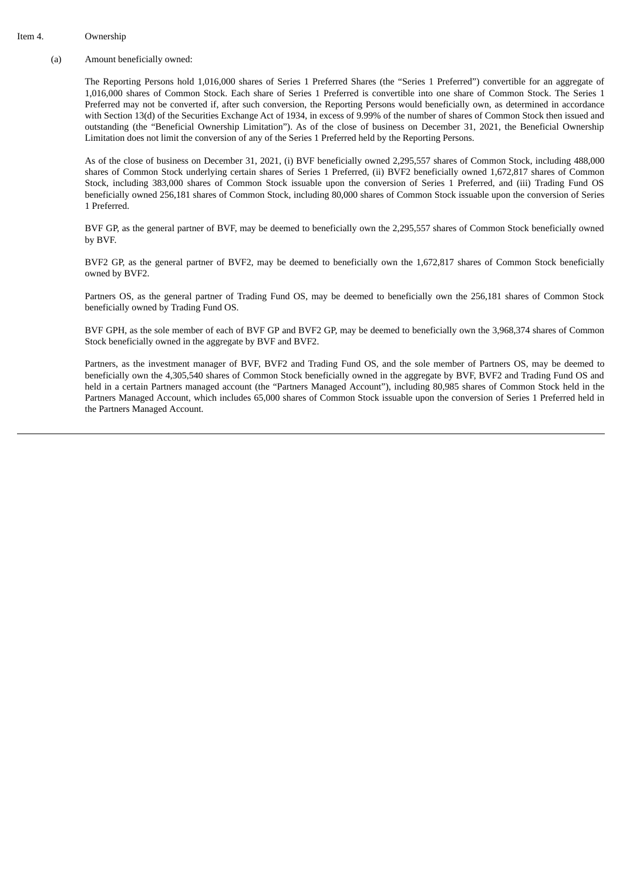#### Item 4. Ownership

(a) Amount beneficially owned:

The Reporting Persons hold 1,016,000 shares of Series 1 Preferred Shares (the "Series 1 Preferred") convertible for an aggregate of 1,016,000 shares of Common Stock. Each share of Series 1 Preferred is convertible into one share of Common Stock. The Series 1 Preferred may not be converted if, after such conversion, the Reporting Persons would beneficially own, as determined in accordance with Section 13(d) of the Securities Exchange Act of 1934, in excess of 9.99% of the number of shares of Common Stock then issued and outstanding (the "Beneficial Ownership Limitation"). As of the close of business on December 31, 2021, the Beneficial Ownership Limitation does not limit the conversion of any of the Series 1 Preferred held by the Reporting Persons.

As of the close of business on December 31, 2021, (i) BVF beneficially owned 2,295,557 shares of Common Stock, including 488,000 shares of Common Stock underlying certain shares of Series 1 Preferred, (ii) BVF2 beneficially owned 1,672,817 shares of Common Stock, including 383,000 shares of Common Stock issuable upon the conversion of Series 1 Preferred, and (iii) Trading Fund OS beneficially owned 256,181 shares of Common Stock, including 80,000 shares of Common Stock issuable upon the conversion of Series 1 Preferred.

BVF GP, as the general partner of BVF, may be deemed to beneficially own the 2,295,557 shares of Common Stock beneficially owned by BVF.

BVF2 GP, as the general partner of BVF2, may be deemed to beneficially own the 1,672,817 shares of Common Stock beneficially owned by BVF2.

Partners OS, as the general partner of Trading Fund OS, may be deemed to beneficially own the 256,181 shares of Common Stock beneficially owned by Trading Fund OS.

BVF GPH, as the sole member of each of BVF GP and BVF2 GP, may be deemed to beneficially own the 3,968,374 shares of Common Stock beneficially owned in the aggregate by BVF and BVF2.

Partners, as the investment manager of BVF, BVF2 and Trading Fund OS, and the sole member of Partners OS, may be deemed to beneficially own the 4,305,540 shares of Common Stock beneficially owned in the aggregate by BVF, BVF2 and Trading Fund OS and held in a certain Partners managed account (the "Partners Managed Account"), including 80,985 shares of Common Stock held in the Partners Managed Account, which includes 65,000 shares of Common Stock issuable upon the conversion of Series 1 Preferred held in the Partners Managed Account.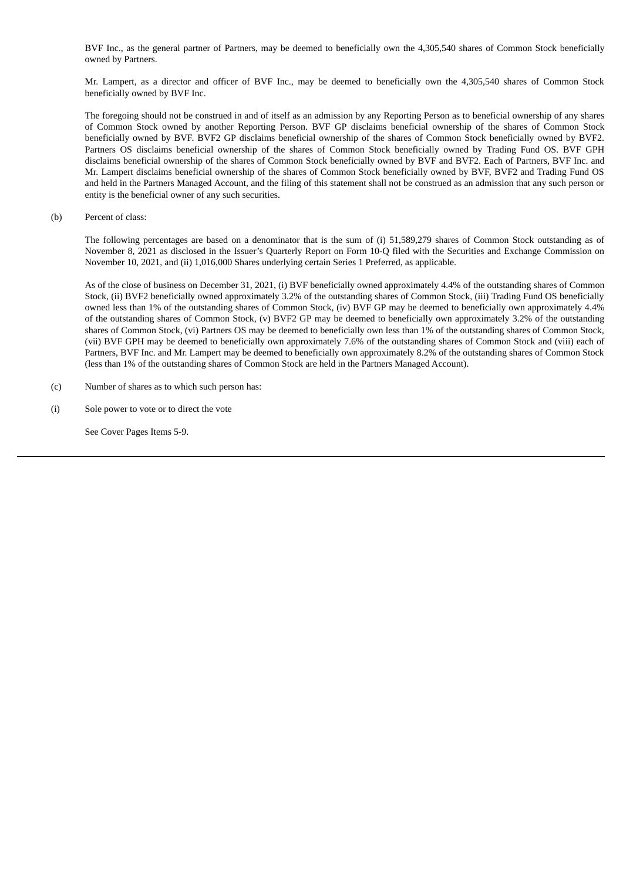BVF Inc., as the general partner of Partners, may be deemed to beneficially own the 4,305,540 shares of Common Stock beneficially owned by Partners.

Mr. Lampert, as a director and officer of BVF Inc., may be deemed to beneficially own the 4,305,540 shares of Common Stock beneficially owned by BVF Inc.

The foregoing should not be construed in and of itself as an admission by any Reporting Person as to beneficial ownership of any shares of Common Stock owned by another Reporting Person. BVF GP disclaims beneficial ownership of the shares of Common Stock beneficially owned by BVF. BVF2 GP disclaims beneficial ownership of the shares of Common Stock beneficially owned by BVF2. Partners OS disclaims beneficial ownership of the shares of Common Stock beneficially owned by Trading Fund OS. BVF GPH disclaims beneficial ownership of the shares of Common Stock beneficially owned by BVF and BVF2. Each of Partners, BVF Inc. and Mr. Lampert disclaims beneficial ownership of the shares of Common Stock beneficially owned by BVF, BVF2 and Trading Fund OS and held in the Partners Managed Account, and the filing of this statement shall not be construed as an admission that any such person or entity is the beneficial owner of any such securities.

(b) Percent of class:

The following percentages are based on a denominator that is the sum of (i) 51,589,279 shares of Common Stock outstanding as of November 8, 2021 as disclosed in the Issuer's Quarterly Report on Form 10-Q filed with the Securities and Exchange Commission on November 10, 2021, and (ii) 1,016,000 Shares underlying certain Series 1 Preferred, as applicable.

As of the close of business on December 31, 2021, (i) BVF beneficially owned approximately 4.4% of the outstanding shares of Common Stock, (ii) BVF2 beneficially owned approximately 3.2% of the outstanding shares of Common Stock, (iii) Trading Fund OS beneficially owned less than 1% of the outstanding shares of Common Stock, (iv) BVF GP may be deemed to beneficially own approximately 4.4% of the outstanding shares of Common Stock, (v) BVF2 GP may be deemed to beneficially own approximately 3.2% of the outstanding shares of Common Stock, (vi) Partners OS may be deemed to beneficially own less than 1% of the outstanding shares of Common Stock, (vii) BVF GPH may be deemed to beneficially own approximately 7.6% of the outstanding shares of Common Stock and (viii) each of Partners, BVF Inc. and Mr. Lampert may be deemed to beneficially own approximately 8.2% of the outstanding shares of Common Stock (less than 1% of the outstanding shares of Common Stock are held in the Partners Managed Account).

- (c) Number of shares as to which such person has:
- (i) Sole power to vote or to direct the vote

See Cover Pages Items 5-9.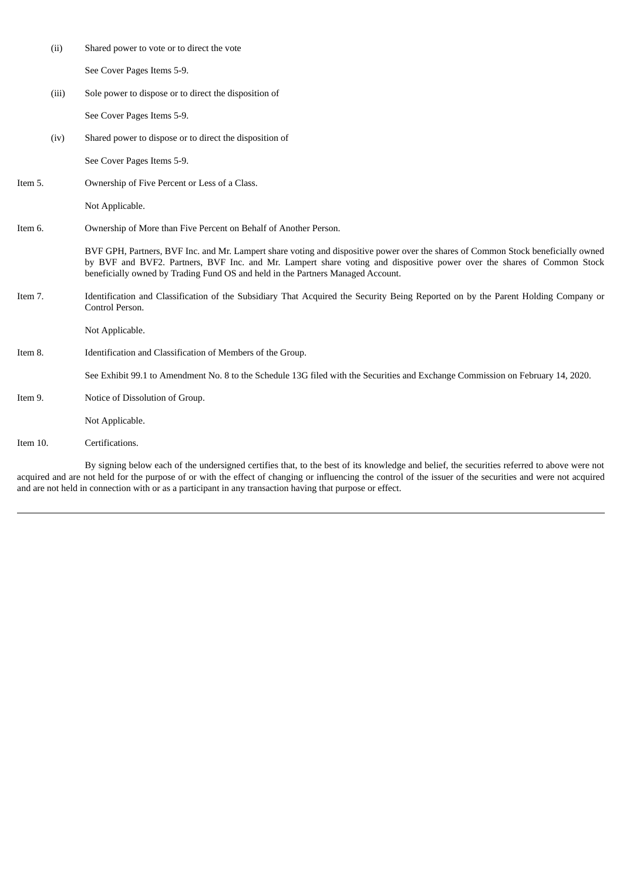|          | (ii)  | Shared power to vote or to direct the vote                                                                                                                                                                                                                                                                                                     |
|----------|-------|------------------------------------------------------------------------------------------------------------------------------------------------------------------------------------------------------------------------------------------------------------------------------------------------------------------------------------------------|
|          |       | See Cover Pages Items 5-9.                                                                                                                                                                                                                                                                                                                     |
|          | (iii) | Sole power to dispose or to direct the disposition of                                                                                                                                                                                                                                                                                          |
|          |       | See Cover Pages Items 5-9.                                                                                                                                                                                                                                                                                                                     |
|          | (iv)  | Shared power to dispose or to direct the disposition of                                                                                                                                                                                                                                                                                        |
|          |       | See Cover Pages Items 5-9.                                                                                                                                                                                                                                                                                                                     |
| Item 5.  |       | Ownership of Five Percent or Less of a Class.                                                                                                                                                                                                                                                                                                  |
|          |       | Not Applicable.                                                                                                                                                                                                                                                                                                                                |
| Item 6.  |       | Ownership of More than Five Percent on Behalf of Another Person.                                                                                                                                                                                                                                                                               |
|          |       | BVF GPH, Partners, BVF Inc. and Mr. Lampert share voting and dispositive power over the shares of Common Stock beneficially owned<br>by BVF and BVF2. Partners, BVF Inc. and Mr. Lampert share voting and dispositive power over the shares of Common Stock<br>beneficially owned by Trading Fund OS and held in the Partners Managed Account. |
| Item 7.  |       | Identification and Classification of the Subsidiary That Acquired the Security Being Reported on by the Parent Holding Company or<br>Control Person.                                                                                                                                                                                           |
|          |       | Not Applicable.                                                                                                                                                                                                                                                                                                                                |
| Item 8.  |       | Identification and Classification of Members of the Group.                                                                                                                                                                                                                                                                                     |
|          |       | See Exhibit 99.1 to Amendment No. 8 to the Schedule 13G filed with the Securities and Exchange Commission on February 14, 2020.                                                                                                                                                                                                                |
| Item 9.  |       | Notice of Dissolution of Group.                                                                                                                                                                                                                                                                                                                |
|          |       | Not Applicable.                                                                                                                                                                                                                                                                                                                                |
| Item 10. |       | Certifications.                                                                                                                                                                                                                                                                                                                                |

By signing below each of the undersigned certifies that, to the best of its knowledge and belief, the securities referred to above were not acquired and are not held for the purpose of or with the effect of changing or influencing the control of the issuer of the securities and were not acquired and are not held in connection with or as a participant in any transaction having that purpose or effect.